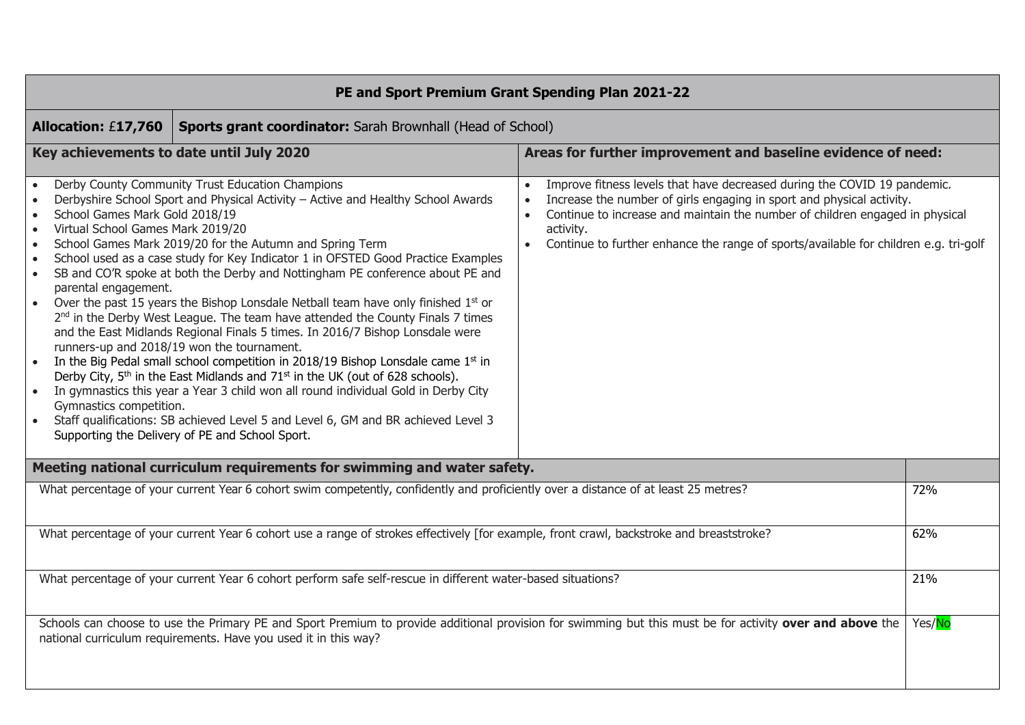| PE and Sport Premium Grant Spending Plan 2021-22                                                                                                                                                                  |                                                                                                                                                                                                                                                                                                                                                                                                                                                                                                                                                                                                                                                                                                                                                                                                                                                                                                                                                                                                                                                                                                                        |                                                                                                                                                                                                                                                                                                                                                                               |        |  |  |  |  |
|-------------------------------------------------------------------------------------------------------------------------------------------------------------------------------------------------------------------|------------------------------------------------------------------------------------------------------------------------------------------------------------------------------------------------------------------------------------------------------------------------------------------------------------------------------------------------------------------------------------------------------------------------------------------------------------------------------------------------------------------------------------------------------------------------------------------------------------------------------------------------------------------------------------------------------------------------------------------------------------------------------------------------------------------------------------------------------------------------------------------------------------------------------------------------------------------------------------------------------------------------------------------------------------------------------------------------------------------------|-------------------------------------------------------------------------------------------------------------------------------------------------------------------------------------------------------------------------------------------------------------------------------------------------------------------------------------------------------------------------------|--------|--|--|--|--|
| <b>Allocation: £17,760</b><br><b>Sports grant coordinator:</b> Sarah Brownhall (Head of School)                                                                                                                   |                                                                                                                                                                                                                                                                                                                                                                                                                                                                                                                                                                                                                                                                                                                                                                                                                                                                                                                                                                                                                                                                                                                        |                                                                                                                                                                                                                                                                                                                                                                               |        |  |  |  |  |
| Areas for further improvement and baseline evidence of need:<br>Key achievements to date until July 2020                                                                                                          |                                                                                                                                                                                                                                                                                                                                                                                                                                                                                                                                                                                                                                                                                                                                                                                                                                                                                                                                                                                                                                                                                                                        |                                                                                                                                                                                                                                                                                                                                                                               |        |  |  |  |  |
| $\bullet$<br>$\bullet$<br>School Games Mark Gold 2018/19<br>$\bullet$<br>Virtual School Games Mark 2019/20<br>$\bullet$<br>$\bullet$<br>$\bullet$<br>$\bullet$<br>parental engagement.<br>Gymnastics competition. | Derby County Community Trust Education Champions<br>Derbyshire School Sport and Physical Activity - Active and Healthy School Awards<br>School Games Mark 2019/20 for the Autumn and Spring Term<br>School used as a case study for Key Indicator 1 in OFSTED Good Practice Examples<br>SB and CO'R spoke at both the Derby and Nottingham PE conference about PE and<br>Over the past 15 years the Bishop Lonsdale Netball team have only finished $1st$ or<br>2 <sup>nd</sup> in the Derby West League. The team have attended the County Finals 7 times<br>and the East Midlands Regional Finals 5 times. In 2016/7 Bishop Lonsdale were<br>runners-up and 2018/19 won the tournament.<br>In the Big Pedal small school competition in 2018/19 Bishop Lonsdale came $1st$ in<br>Derby City, 5 <sup>th</sup> in the East Midlands and 71 <sup>st</sup> in the UK (out of 628 schools).<br>In gymnastics this year a Year 3 child won all round individual Gold in Derby City<br>Staff qualifications: SB achieved Level 5 and Level 6, GM and BR achieved Level 3<br>Supporting the Delivery of PE and School Sport. | Improve fitness levels that have decreased during the COVID 19 pandemic.<br>$\bullet$<br>Increase the number of girls engaging in sport and physical activity.<br>$\bullet$<br>Continue to increase and maintain the number of children engaged in physical<br>$\bullet$<br>activity.<br>Continue to further enhance the range of sports/available for children e.g. tri-golf |        |  |  |  |  |
|                                                                                                                                                                                                                   | Meeting national curriculum requirements for swimming and water safety.                                                                                                                                                                                                                                                                                                                                                                                                                                                                                                                                                                                                                                                                                                                                                                                                                                                                                                                                                                                                                                                |                                                                                                                                                                                                                                                                                                                                                                               |        |  |  |  |  |
|                                                                                                                                                                                                                   | What percentage of your current Year 6 cohort swim competently, confidently and proficiently over a distance of at least 25 metres?                                                                                                                                                                                                                                                                                                                                                                                                                                                                                                                                                                                                                                                                                                                                                                                                                                                                                                                                                                                    |                                                                                                                                                                                                                                                                                                                                                                               | 72%    |  |  |  |  |
|                                                                                                                                                                                                                   | What percentage of your current Year 6 cohort use a range of strokes effectively [for example, front crawl, backstroke and breaststroke?                                                                                                                                                                                                                                                                                                                                                                                                                                                                                                                                                                                                                                                                                                                                                                                                                                                                                                                                                                               |                                                                                                                                                                                                                                                                                                                                                                               | 62%    |  |  |  |  |
| What percentage of your current Year 6 cohort perform safe self-rescue in different water-based situations?                                                                                                       |                                                                                                                                                                                                                                                                                                                                                                                                                                                                                                                                                                                                                                                                                                                                                                                                                                                                                                                                                                                                                                                                                                                        |                                                                                                                                                                                                                                                                                                                                                                               |        |  |  |  |  |
|                                                                                                                                                                                                                   | national curriculum requirements. Have you used it in this way?                                                                                                                                                                                                                                                                                                                                                                                                                                                                                                                                                                                                                                                                                                                                                                                                                                                                                                                                                                                                                                                        | Schools can choose to use the Primary PE and Sport Premium to provide additional provision for swimming but this must be for activity over and above the                                                                                                                                                                                                                      | Yes/No |  |  |  |  |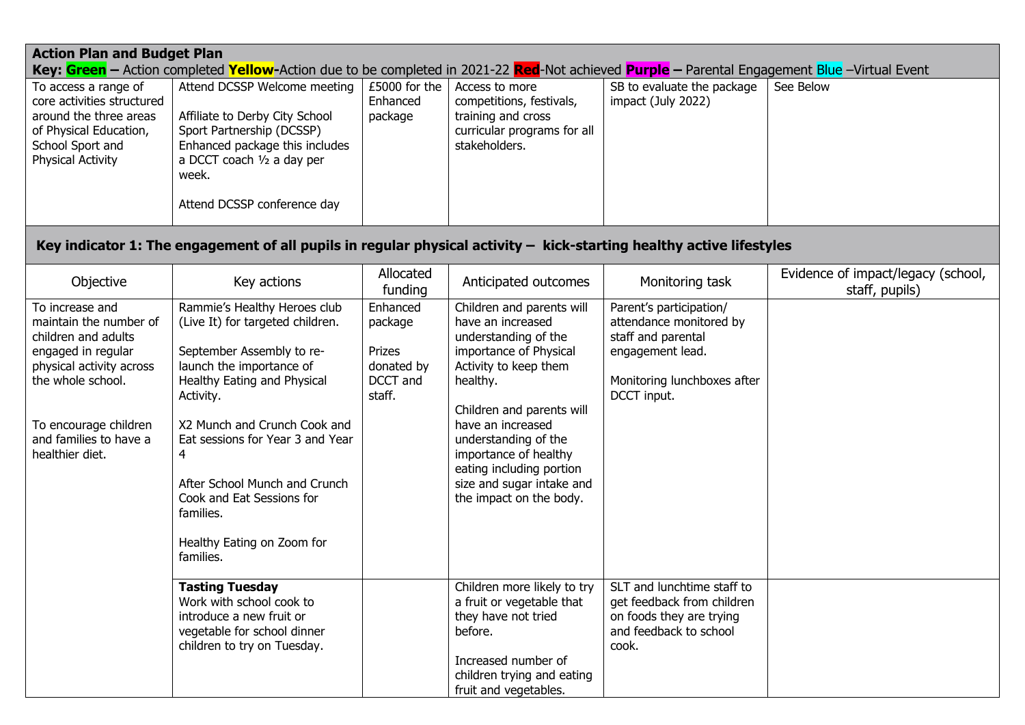| <b>Action Plan and Budget Plan</b><br>Key: Green - Action completed Yellow-Action due to be completed in 2021-22 Red-Not achieved Purple - Parental Engagement Blue -Virtual Event                            |                                                                                                                                                                                                                                                                                                                                                                      |                                                                   |                                                                                                                                                                                                                                                                                                                              |                                                                                                                                            |                                                      |  |
|---------------------------------------------------------------------------------------------------------------------------------------------------------------------------------------------------------------|----------------------------------------------------------------------------------------------------------------------------------------------------------------------------------------------------------------------------------------------------------------------------------------------------------------------------------------------------------------------|-------------------------------------------------------------------|------------------------------------------------------------------------------------------------------------------------------------------------------------------------------------------------------------------------------------------------------------------------------------------------------------------------------|--------------------------------------------------------------------------------------------------------------------------------------------|------------------------------------------------------|--|
|                                                                                                                                                                                                               |                                                                                                                                                                                                                                                                                                                                                                      |                                                                   |                                                                                                                                                                                                                                                                                                                              |                                                                                                                                            |                                                      |  |
| To access a range of<br>core activities structured<br>around the three areas<br>of Physical Education,<br>School Sport and<br>Physical Activity                                                               | Attend DCSSP Welcome meeting<br>Affiliate to Derby City School<br>Sport Partnership (DCSSP)<br>Enhanced package this includes<br>a DCCT coach 1/2 a day per<br>week.<br>Attend DCSSP conference day                                                                                                                                                                  | £5000 for the<br>Enhanced<br>package                              | Access to more<br>competitions, festivals,<br>training and cross<br>curricular programs for all<br>stakeholders.                                                                                                                                                                                                             | SB to evaluate the package<br>impact (July 2022)                                                                                           | See Below                                            |  |
|                                                                                                                                                                                                               | Key indicator 1: The engagement of all pupils in regular physical activity $-$ kick-starting healthy active lifestyles                                                                                                                                                                                                                                               |                                                                   |                                                                                                                                                                                                                                                                                                                              |                                                                                                                                            |                                                      |  |
| Objective                                                                                                                                                                                                     | Key actions                                                                                                                                                                                                                                                                                                                                                          | Allocated<br>funding                                              | Anticipated outcomes                                                                                                                                                                                                                                                                                                         | Monitoring task                                                                                                                            | Evidence of impact/legacy (school,<br>staff, pupils) |  |
| To increase and<br>maintain the number of<br>children and adults<br>engaged in regular<br>physical activity across<br>the whole school.<br>To encourage children<br>and families to have a<br>healthier diet. | Rammie's Healthy Heroes club<br>(Live It) for targeted children.<br>September Assembly to re-<br>launch the importance of<br>Healthy Eating and Physical<br>Activity.<br>X2 Munch and Crunch Cook and<br>Eat sessions for Year 3 and Year<br>4<br>After School Munch and Crunch<br>Cook and Eat Sessions for<br>families.<br>Healthy Eating on Zoom for<br>families. | Enhanced<br>package<br>Prizes<br>donated by<br>DCCT and<br>staff. | Children and parents will<br>have an increased<br>understanding of the<br>importance of Physical<br>Activity to keep them<br>healthy.<br>Children and parents will<br>have an increased<br>understanding of the<br>importance of healthy<br>eating including portion<br>size and sugar intake and<br>the impact on the body. | Parent's participation/<br>attendance monitored by<br>staff and parental<br>engagement lead.<br>Monitoring lunchboxes after<br>DCCT input. |                                                      |  |
|                                                                                                                                                                                                               | <b>Tasting Tuesday</b><br>Work with school cook to<br>introduce a new fruit or<br>vegetable for school dinner<br>children to try on Tuesday.                                                                                                                                                                                                                         |                                                                   | Children more likely to try<br>a fruit or vegetable that<br>they have not tried<br>before.<br>Increased number of<br>children trying and eating<br>fruit and vegetables.                                                                                                                                                     | SLT and lunchtime staff to<br>get feedback from children<br>on foods they are trying<br>and feedback to school<br>cook.                    |                                                      |  |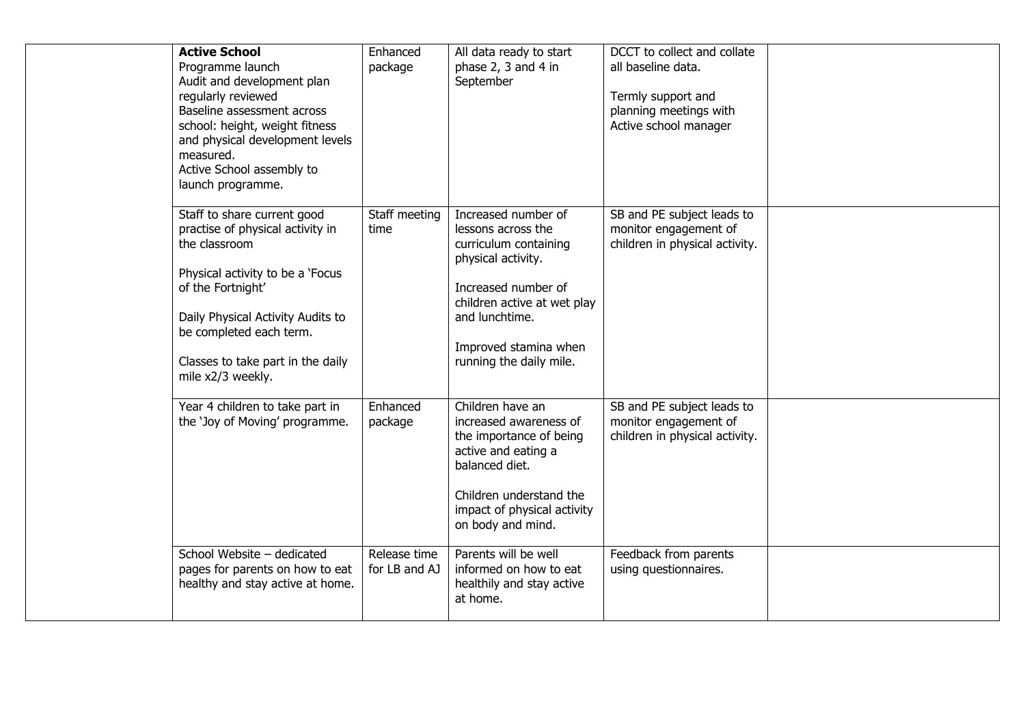| <b>Active School</b><br>Programme launch<br>Audit and development plan<br>regularly reviewed<br>Baseline assessment across<br>school: height, weight fitness<br>and physical development levels<br>measured.<br>Active School assembly to<br>launch programme.      | Enhanced<br>package           | All data ready to start<br>phase 2, 3 and 4 in<br>September                                                                                                                                                          | DCCT to collect and collate<br>all baseline data.<br>Termly support and<br>planning meetings with<br>Active school manager |  |
|---------------------------------------------------------------------------------------------------------------------------------------------------------------------------------------------------------------------------------------------------------------------|-------------------------------|----------------------------------------------------------------------------------------------------------------------------------------------------------------------------------------------------------------------|----------------------------------------------------------------------------------------------------------------------------|--|
| Staff to share current good<br>practise of physical activity in<br>the classroom<br>Physical activity to be a 'Focus<br>of the Fortnight'<br>Daily Physical Activity Audits to<br>be completed each term.<br>Classes to take part in the daily<br>mile x2/3 weekly. | Staff meeting<br>time         | Increased number of<br>lessons across the<br>curriculum containing<br>physical activity.<br>Increased number of<br>children active at wet play<br>and lunchtime.<br>Improved stamina when<br>running the daily mile. | SB and PE subject leads to<br>monitor engagement of<br>children in physical activity.                                      |  |
| Year 4 children to take part in<br>the 'Joy of Moving' programme.                                                                                                                                                                                                   | Enhanced<br>package           | Children have an<br>increased awareness of<br>the importance of being<br>active and eating a<br>balanced diet.<br>Children understand the<br>impact of physical activity<br>on body and mind.                        | SB and PE subject leads to<br>monitor engagement of<br>children in physical activity.                                      |  |
| School Website - dedicated<br>pages for parents on how to eat<br>healthy and stay active at home.                                                                                                                                                                   | Release time<br>for LB and AJ | Parents will be well<br>informed on how to eat<br>healthily and stay active<br>at home.                                                                                                                              | Feedback from parents<br>using questionnaires.                                                                             |  |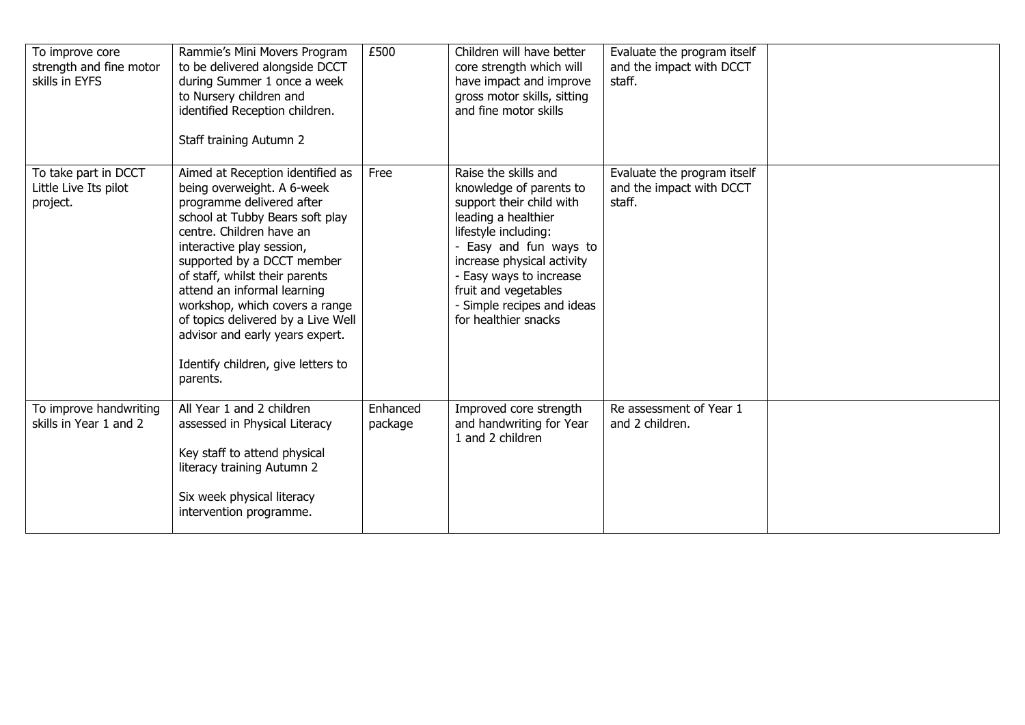| To improve core<br>strength and fine motor<br>skills in EYFS | Rammie's Mini Movers Program<br>to be delivered alongside DCCT<br>during Summer 1 once a week<br>to Nursery children and<br>identified Reception children.<br>Staff training Autumn 2                                                                                                                                                                                                                                                               | £500                | Children will have better<br>core strength which will<br>have impact and improve<br>gross motor skills, sitting<br>and fine motor skills                                                                                                                                                  | Evaluate the program itself<br>and the impact with DCCT<br>staff. |  |
|--------------------------------------------------------------|-----------------------------------------------------------------------------------------------------------------------------------------------------------------------------------------------------------------------------------------------------------------------------------------------------------------------------------------------------------------------------------------------------------------------------------------------------|---------------------|-------------------------------------------------------------------------------------------------------------------------------------------------------------------------------------------------------------------------------------------------------------------------------------------|-------------------------------------------------------------------|--|
| To take part in DCCT<br>Little Live Its pilot<br>project.    | Aimed at Reception identified as<br>being overweight. A 6-week<br>programme delivered after<br>school at Tubby Bears soft play<br>centre. Children have an<br>interactive play session,<br>supported by a DCCT member<br>of staff, whilst their parents<br>attend an informal learning<br>workshop, which covers a range<br>of topics delivered by a Live Well<br>advisor and early years expert.<br>Identify children, give letters to<br>parents. | Free                | Raise the skills and<br>knowledge of parents to<br>support their child with<br>leading a healthier<br>lifestyle including:<br>- Easy and fun ways to<br>increase physical activity<br>Easy ways to increase<br>fruit and vegetables<br>- Simple recipes and ideas<br>for healthier snacks | Evaluate the program itself<br>and the impact with DCCT<br>staff. |  |
| To improve handwriting<br>skills in Year 1 and 2             | All Year 1 and 2 children<br>assessed in Physical Literacy<br>Key staff to attend physical<br>literacy training Autumn 2<br>Six week physical literacy<br>intervention programme.                                                                                                                                                                                                                                                                   | Enhanced<br>package | Improved core strength<br>and handwriting for Year<br>1 and 2 children                                                                                                                                                                                                                    | Re assessment of Year 1<br>and 2 children.                        |  |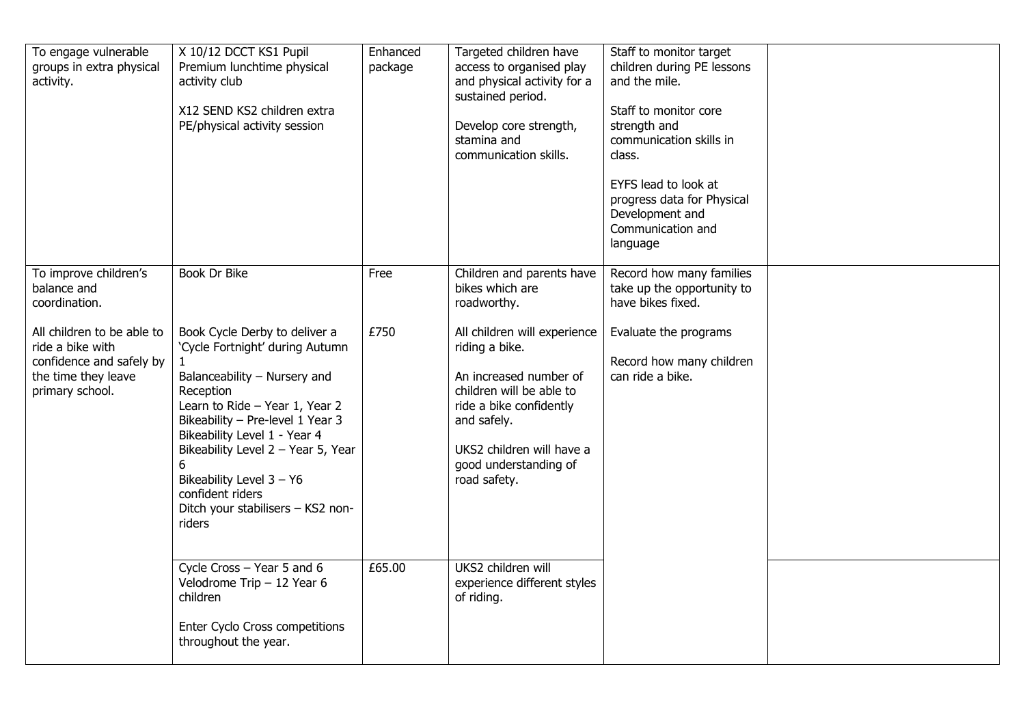| To engage vulnerable<br>groups in extra physical<br>activity.                                                        | X 10/12 DCCT KS1 Pupil<br>Premium lunchtime physical<br>activity club<br>X12 SEND KS2 children extra<br>PE/physical activity session                                                                                                                                                                                                                          | Enhanced<br>package | Targeted children have<br>access to organised play<br>and physical activity for a<br>sustained period.<br>Develop core strength,<br>stamina and<br>communication skills.                                             | Staff to monitor target<br>children during PE lessons<br>and the mile.<br>Staff to monitor core<br>strength and<br>communication skills in<br>class.<br>EYFS lead to look at<br>progress data for Physical<br>Development and<br>Communication and<br>language |  |
|----------------------------------------------------------------------------------------------------------------------|---------------------------------------------------------------------------------------------------------------------------------------------------------------------------------------------------------------------------------------------------------------------------------------------------------------------------------------------------------------|---------------------|----------------------------------------------------------------------------------------------------------------------------------------------------------------------------------------------------------------------|----------------------------------------------------------------------------------------------------------------------------------------------------------------------------------------------------------------------------------------------------------------|--|
| To improve children's<br>balance and<br>coordination.                                                                | Book Dr Bike                                                                                                                                                                                                                                                                                                                                                  | Free                | Children and parents have<br>bikes which are<br>roadworthy.                                                                                                                                                          | Record how many families<br>take up the opportunity to<br>have bikes fixed.                                                                                                                                                                                    |  |
| All children to be able to<br>ride a bike with<br>confidence and safely by<br>the time they leave<br>primary school. | Book Cycle Derby to deliver a<br>'Cycle Fortnight' during Autumn<br>Balanceability - Nursery and<br>Reception<br>Learn to Ride - Year 1, Year 2<br>Bikeability - Pre-level 1 Year 3<br>Bikeability Level 1 - Year 4<br>Bikeability Level 2 - Year 5, Year<br>6<br>Bikeability Level 3 - Y6<br>confident riders<br>Ditch your stabilisers - KS2 non-<br>riders | £750                | All children will experience<br>riding a bike.<br>An increased number of<br>children will be able to<br>ride a bike confidently<br>and safely.<br>UKS2 children will have a<br>good understanding of<br>road safety. | Evaluate the programs<br>Record how many children<br>can ride a bike.                                                                                                                                                                                          |  |
|                                                                                                                      | Cycle Cross - Year 5 and 6<br>Velodrome Trip $-12$ Year 6<br>children<br>Enter Cyclo Cross competitions<br>throughout the year.                                                                                                                                                                                                                               | £65.00              | UKS2 children will<br>experience different styles<br>of riding.                                                                                                                                                      |                                                                                                                                                                                                                                                                |  |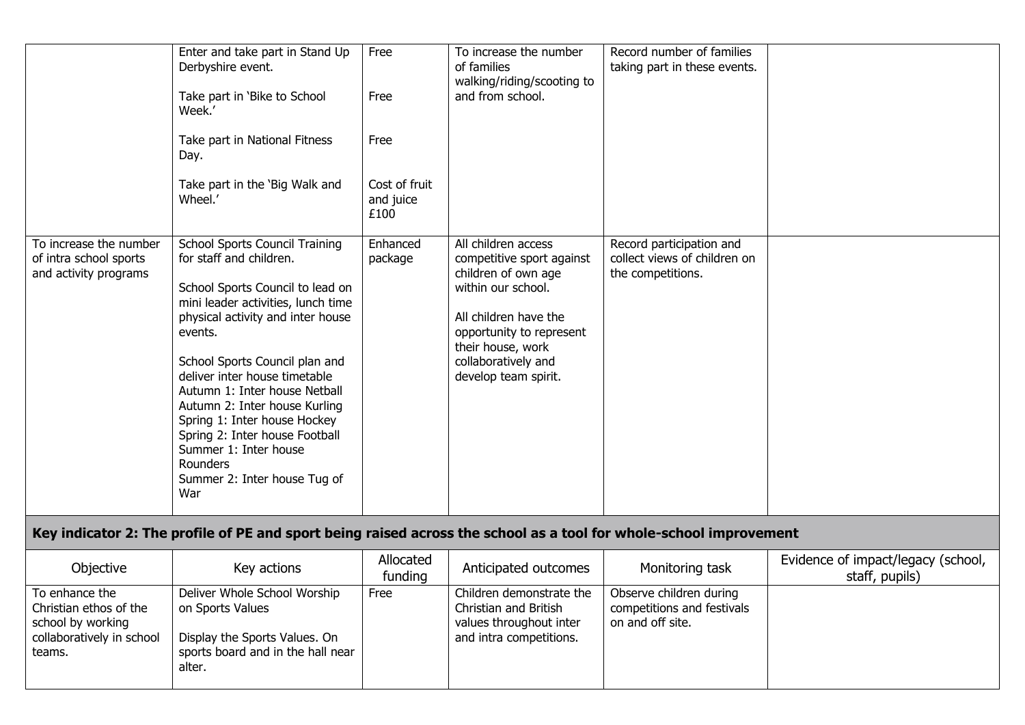|                                                                           | Enter and take part in Stand Up<br>Derbyshire event.<br>Take part in 'Bike to School<br>Week.'<br>Take part in National Fitness<br>Day.<br>Take part in the 'Big Walk and<br>Wheel.'                                                                                                                                                                                                                                                                                          | Free<br>Free<br>Free<br>Cost of fruit<br>and juice<br>£100 | To increase the number<br>of families<br>walking/riding/scooting to<br>and from school.                                                                                                                                | Record number of families<br>taking part in these events.                     |  |
|---------------------------------------------------------------------------|-------------------------------------------------------------------------------------------------------------------------------------------------------------------------------------------------------------------------------------------------------------------------------------------------------------------------------------------------------------------------------------------------------------------------------------------------------------------------------|------------------------------------------------------------|------------------------------------------------------------------------------------------------------------------------------------------------------------------------------------------------------------------------|-------------------------------------------------------------------------------|--|
| To increase the number<br>of intra school sports<br>and activity programs | School Sports Council Training<br>for staff and children.<br>School Sports Council to lead on<br>mini leader activities, lunch time<br>physical activity and inter house<br>events.<br>School Sports Council plan and<br>deliver inter house timetable<br>Autumn 1: Inter house Netball<br>Autumn 2: Inter house Kurling<br>Spring 1: Inter house Hockey<br>Spring 2: Inter house Football<br>Summer 1: Inter house<br><b>Rounders</b><br>Summer 2: Inter house Tug of<br>War | Enhanced<br>package                                        | All children access<br>competitive sport against<br>children of own age<br>within our school.<br>All children have the<br>opportunity to represent<br>their house, work<br>collaboratively and<br>develop team spirit. | Record participation and<br>collect views of children on<br>the competitions. |  |

## **Key indicator 2: The profile of PE and sport being raised across the school as a tool for whole-school improvement**

| Objective                                                                                            | Key actions                                                                                                                      | Allocated<br>funding | Anticipated outcomes                                                                                    | Monitoring task                                                           | Evidence of impact/legacy (school,<br>staff, pupils) |
|------------------------------------------------------------------------------------------------------|----------------------------------------------------------------------------------------------------------------------------------|----------------------|---------------------------------------------------------------------------------------------------------|---------------------------------------------------------------------------|------------------------------------------------------|
| To enhance the<br>Christian ethos of the<br>school by working<br>collaboratively in school<br>teams. | Deliver Whole School Worship<br>on Sports Values<br>Display the Sports Values. On<br>sports board and in the hall near<br>alter. | Free                 | Children demonstrate the<br>Christian and British<br>values throughout inter<br>and intra competitions. | Observe children during<br>competitions and festivals<br>on and off site. |                                                      |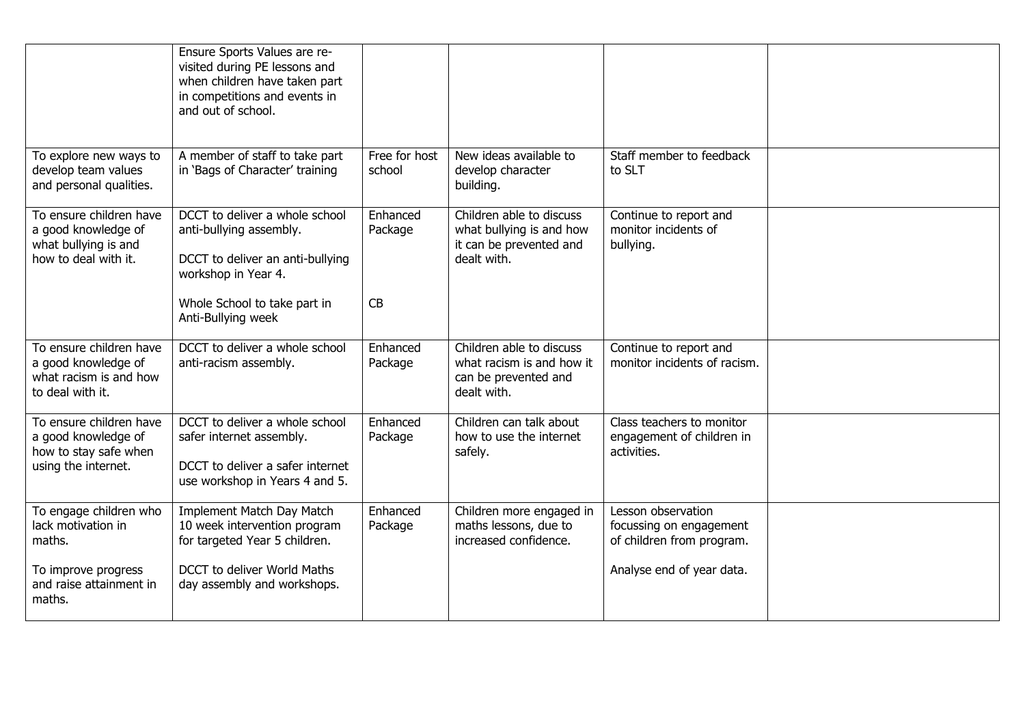|                                                                                                                    | Ensure Sports Values are re-<br>visited during PE lessons and<br>when children have taken part<br>in competitions and events in<br>and out of school.                      |                           |                                                                                                |                                                                                                         |  |
|--------------------------------------------------------------------------------------------------------------------|----------------------------------------------------------------------------------------------------------------------------------------------------------------------------|---------------------------|------------------------------------------------------------------------------------------------|---------------------------------------------------------------------------------------------------------|--|
| To explore new ways to<br>develop team values<br>and personal qualities.                                           | A member of staff to take part<br>in 'Bags of Character' training                                                                                                          | Free for host<br>school   | New ideas available to<br>develop character<br>building.                                       | Staff member to feedback<br>to SLT                                                                      |  |
| To ensure children have<br>a good knowledge of<br>what bullying is and<br>how to deal with it.                     | DCCT to deliver a whole school<br>anti-bullying assembly.<br>DCCT to deliver an anti-bullying<br>workshop in Year 4.<br>Whole School to take part in<br>Anti-Bullying week | Enhanced<br>Package<br>CB | Children able to discuss<br>what bullying is and how<br>it can be prevented and<br>dealt with. | Continue to report and<br>monitor incidents of<br>bullying.                                             |  |
| To ensure children have<br>a good knowledge of<br>what racism is and how<br>to deal with it.                       | DCCT to deliver a whole school<br>anti-racism assembly.                                                                                                                    | Enhanced<br>Package       | Children able to discuss<br>what racism is and how it<br>can be prevented and<br>dealt with.   | Continue to report and<br>monitor incidents of racism.                                                  |  |
| To ensure children have<br>a good knowledge of<br>how to stay safe when<br>using the internet.                     | DCCT to deliver a whole school<br>safer internet assembly.<br>DCCT to deliver a safer internet<br>use workshop in Years 4 and 5.                                           | Enhanced<br>Package       | Children can talk about<br>how to use the internet<br>safely.                                  | Class teachers to monitor<br>engagement of children in<br>activities.                                   |  |
| To engage children who<br>lack motivation in<br>maths.<br>To improve progress<br>and raise attainment in<br>maths. | Implement Match Day Match<br>10 week intervention program<br>for targeted Year 5 children.<br>DCCT to deliver World Maths<br>day assembly and workshops.                   | Enhanced<br>Package       | Children more engaged in<br>maths lessons, due to<br>increased confidence.                     | Lesson observation<br>focussing on engagement<br>of children from program.<br>Analyse end of year data. |  |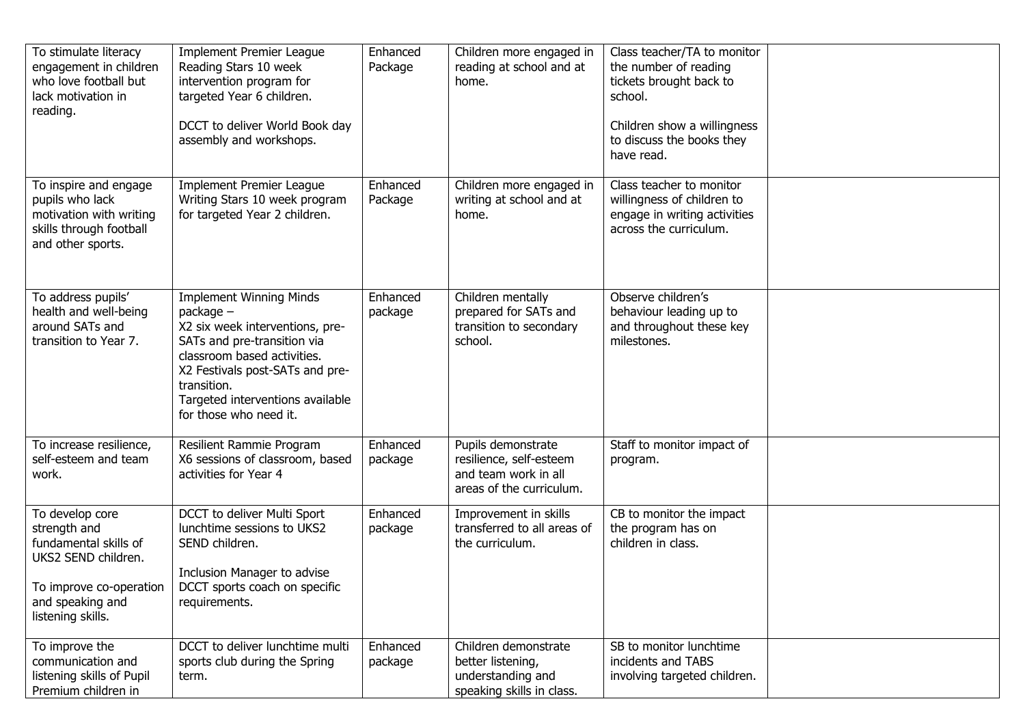| To stimulate literacy<br>engagement in children<br>who love football but<br>lack motivation in<br>reading.                                          | <b>Implement Premier League</b><br>Reading Stars 10 week<br>intervention program for<br>targeted Year 6 children.<br>DCCT to deliver World Book day<br>assembly and workshops.                                                                               | Enhanced<br>Package | Children more engaged in<br>reading at school and at<br>home.                                     | Class teacher/TA to monitor<br>the number of reading<br>tickets brought back to<br>school.<br>Children show a willingness<br>to discuss the books they<br>have read. |  |
|-----------------------------------------------------------------------------------------------------------------------------------------------------|--------------------------------------------------------------------------------------------------------------------------------------------------------------------------------------------------------------------------------------------------------------|---------------------|---------------------------------------------------------------------------------------------------|----------------------------------------------------------------------------------------------------------------------------------------------------------------------|--|
| To inspire and engage<br>pupils who lack<br>motivation with writing<br>skills through football<br>and other sports.                                 | <b>Implement Premier League</b><br>Writing Stars 10 week program<br>for targeted Year 2 children.                                                                                                                                                            | Enhanced<br>Package | Children more engaged in<br>writing at school and at<br>home.                                     | Class teacher to monitor<br>willingness of children to<br>engage in writing activities<br>across the curriculum.                                                     |  |
| To address pupils'<br>health and well-being<br>around SATs and<br>transition to Year 7.                                                             | <b>Implement Winning Minds</b><br>package -<br>X2 six week interventions, pre-<br>SATs and pre-transition via<br>classroom based activities.<br>X2 Festivals post-SATs and pre-<br>transition.<br>Targeted interventions available<br>for those who need it. | Enhanced<br>package | Children mentally<br>prepared for SATs and<br>transition to secondary<br>school.                  | Observe children's<br>behaviour leading up to<br>and throughout these key<br>milestones.                                                                             |  |
| To increase resilience,<br>self-esteem and team<br>work.                                                                                            | Resilient Rammie Program<br>X6 sessions of classroom, based<br>activities for Year 4                                                                                                                                                                         | Enhanced<br>package | Pupils demonstrate<br>resilience, self-esteem<br>and team work in all<br>areas of the curriculum. | Staff to monitor impact of<br>program.                                                                                                                               |  |
| To develop core<br>strength and<br>fundamental skills of<br>UKS2 SEND children.<br>To improve co-operation<br>and speaking and<br>listening skills. | DCCT to deliver Multi Sport<br>lunchtime sessions to UKS2<br>SEND children.<br>Inclusion Manager to advise<br>DCCT sports coach on specific<br>requirements.                                                                                                 | Enhanced<br>package | Improvement in skills<br>transferred to all areas of<br>the curriculum.                           | CB to monitor the impact<br>the program has on<br>children in class.                                                                                                 |  |
| To improve the<br>communication and<br>listening skills of Pupil<br>Premium children in                                                             | DCCT to deliver lunchtime multi<br>sports club during the Spring<br>term.                                                                                                                                                                                    | Enhanced<br>package | Children demonstrate<br>better listening,<br>understanding and<br>speaking skills in class.       | SB to monitor lunchtime<br>incidents and TABS<br>involving targeted children.                                                                                        |  |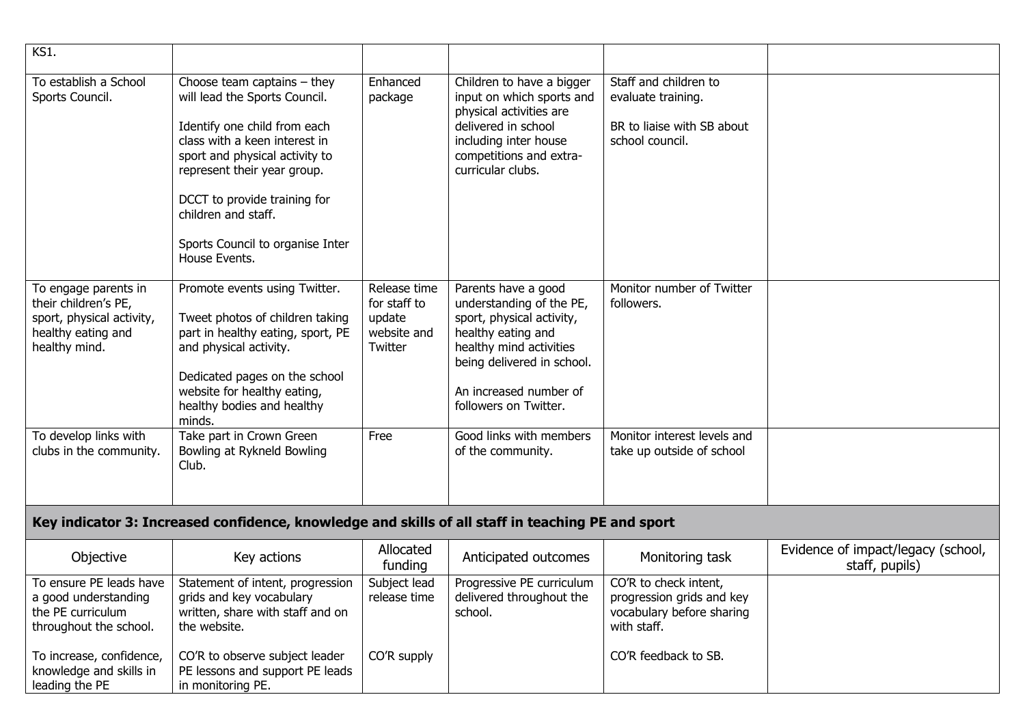| KS1.                                                                                                             |                                                                                                                                                                                                                                                                                                              |                                                                  |                                                                                                                                                                                                                |                                                                                                |                                                      |
|------------------------------------------------------------------------------------------------------------------|--------------------------------------------------------------------------------------------------------------------------------------------------------------------------------------------------------------------------------------------------------------------------------------------------------------|------------------------------------------------------------------|----------------------------------------------------------------------------------------------------------------------------------------------------------------------------------------------------------------|------------------------------------------------------------------------------------------------|------------------------------------------------------|
| To establish a School<br>Sports Council.                                                                         | Choose team captains $-$ they<br>will lead the Sports Council.<br>Identify one child from each<br>class with a keen interest in<br>sport and physical activity to<br>represent their year group.<br>DCCT to provide training for<br>children and staff.<br>Sports Council to organise Inter<br>House Events. | Enhanced<br>package                                              | Children to have a bigger<br>input on which sports and<br>physical activities are<br>delivered in school<br>including inter house<br>competitions and extra-<br>curricular clubs.                              | Staff and children to<br>evaluate training.<br>BR to liaise with SB about<br>school council.   |                                                      |
| To engage parents in<br>their children's PE,<br>sport, physical activity,<br>healthy eating and<br>healthy mind. | Promote events using Twitter.<br>Tweet photos of children taking<br>part in healthy eating, sport, PE<br>and physical activity.<br>Dedicated pages on the school<br>website for healthy eating,<br>healthy bodies and healthy<br>minds.                                                                      | Release time<br>for staff to<br>update<br>website and<br>Twitter | Parents have a good<br>understanding of the PE,<br>sport, physical activity,<br>healthy eating and<br>healthy mind activities<br>being delivered in school.<br>An increased number of<br>followers on Twitter. | Monitor number of Twitter<br>followers.                                                        |                                                      |
| To develop links with<br>clubs in the community.                                                                 | Take part in Crown Green<br>Bowling at Rykneld Bowling<br>Club.                                                                                                                                                                                                                                              | Free                                                             | Good links with members<br>of the community.                                                                                                                                                                   | Monitor interest levels and<br>take up outside of school                                       |                                                      |
|                                                                                                                  | Key indicator 3: Increased confidence, knowledge and skills of all staff in teaching PE and sport                                                                                                                                                                                                            |                                                                  |                                                                                                                                                                                                                |                                                                                                |                                                      |
| Objective                                                                                                        | Key actions                                                                                                                                                                                                                                                                                                  | Allocated<br>funding                                             | Anticipated outcomes                                                                                                                                                                                           | Monitoring task                                                                                | Evidence of impact/legacy (school,<br>staff, pupils) |
| To ensure PE leads have<br>a good understanding<br>the PE curriculum<br>throughout the school.                   | Statement of intent, progression<br>grids and key vocabulary<br>written, share with staff and on<br>the website.                                                                                                                                                                                             | Subject lead<br>release time                                     | Progressive PE curriculum<br>delivered throughout the<br>school.                                                                                                                                               | CO'R to check intent,<br>progression grids and key<br>vocabulary before sharing<br>with staff. |                                                      |
| To increase, confidence,<br>knowledge and skills in<br>leading the PE                                            | CO'R to observe subject leader<br>PE lessons and support PE leads<br>in monitoring PE.                                                                                                                                                                                                                       | CO'R supply                                                      |                                                                                                                                                                                                                | CO'R feedback to SB.                                                                           |                                                      |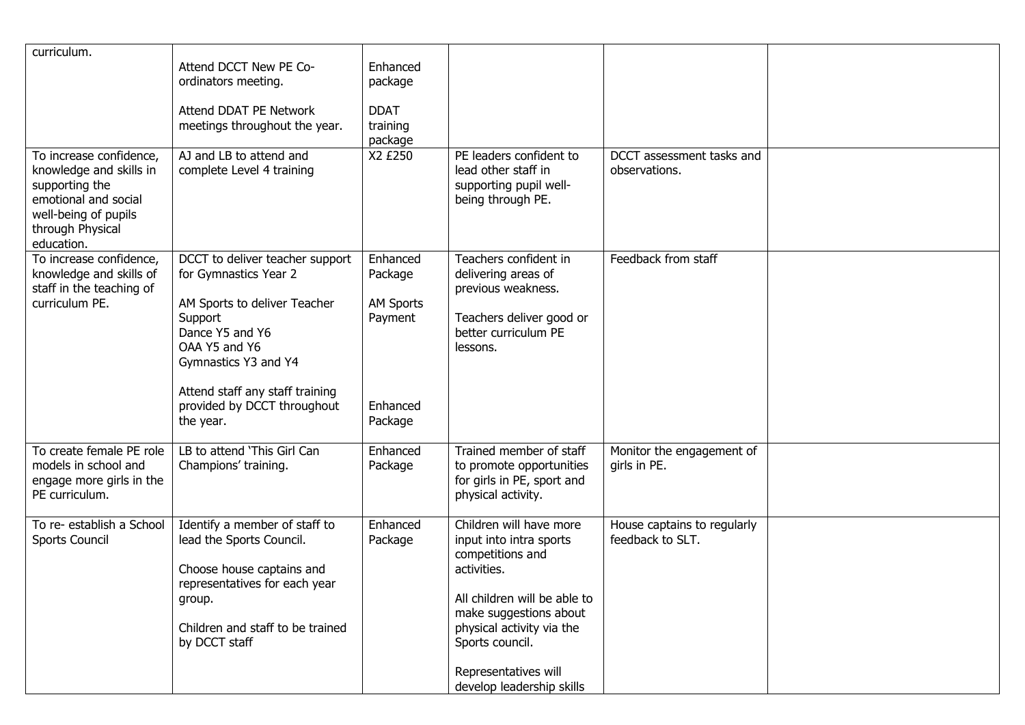| curriculum.<br>To increase confidence,                                                                                      | Attend DCCT New PE Co-<br>ordinators meeting.<br>Attend DDAT PE Network<br>meetings throughout the year.<br>AJ and LB to attend and                                                                                                            | Enhanced<br>package<br><b>DDAT</b><br>training<br>package<br>X2 £250      | PE leaders confident to                                                                                                                                                                                                                              | DCCT assessment tasks and                       |  |
|-----------------------------------------------------------------------------------------------------------------------------|------------------------------------------------------------------------------------------------------------------------------------------------------------------------------------------------------------------------------------------------|---------------------------------------------------------------------------|------------------------------------------------------------------------------------------------------------------------------------------------------------------------------------------------------------------------------------------------------|-------------------------------------------------|--|
| knowledge and skills in<br>supporting the<br>emotional and social<br>well-being of pupils<br>through Physical<br>education. | complete Level 4 training                                                                                                                                                                                                                      |                                                                           | lead other staff in<br>supporting pupil well-<br>being through PE.                                                                                                                                                                                   | observations.                                   |  |
| To increase confidence,<br>knowledge and skills of<br>staff in the teaching of<br>curriculum PE.                            | DCCT to deliver teacher support<br>for Gymnastics Year 2<br>AM Sports to deliver Teacher<br>Support<br>Dance Y5 and Y6<br>OAA Y5 and Y6<br>Gymnastics Y3 and Y4<br>Attend staff any staff training<br>provided by DCCT throughout<br>the year. | Enhanced<br>Package<br><b>AM Sports</b><br>Payment<br>Enhanced<br>Package | Teachers confident in<br>delivering areas of<br>previous weakness.<br>Teachers deliver good or<br>better curriculum PE<br>lessons.                                                                                                                   | Feedback from staff                             |  |
| To create female PE role<br>models in school and<br>engage more girls in the<br>PE curriculum.                              | LB to attend 'This Girl Can<br>Champions' training.                                                                                                                                                                                            | Enhanced<br>Package                                                       | Trained member of staff<br>to promote opportunities<br>for girls in PE, sport and<br>physical activity.                                                                                                                                              | Monitor the engagement of<br>girls in PE.       |  |
| To re- establish a School<br>Sports Council                                                                                 | Identify a member of staff to<br>lead the Sports Council.<br>Choose house captains and<br>representatives for each year<br>group.<br>Children and staff to be trained<br>by DCCT staff                                                         | Enhanced<br>Package                                                       | Children will have more<br>input into intra sports<br>competitions and<br>activities.<br>All children will be able to<br>make suggestions about<br>physical activity via the<br>Sports council.<br>Representatives will<br>develop leadership skills | House captains to regularly<br>feedback to SLT. |  |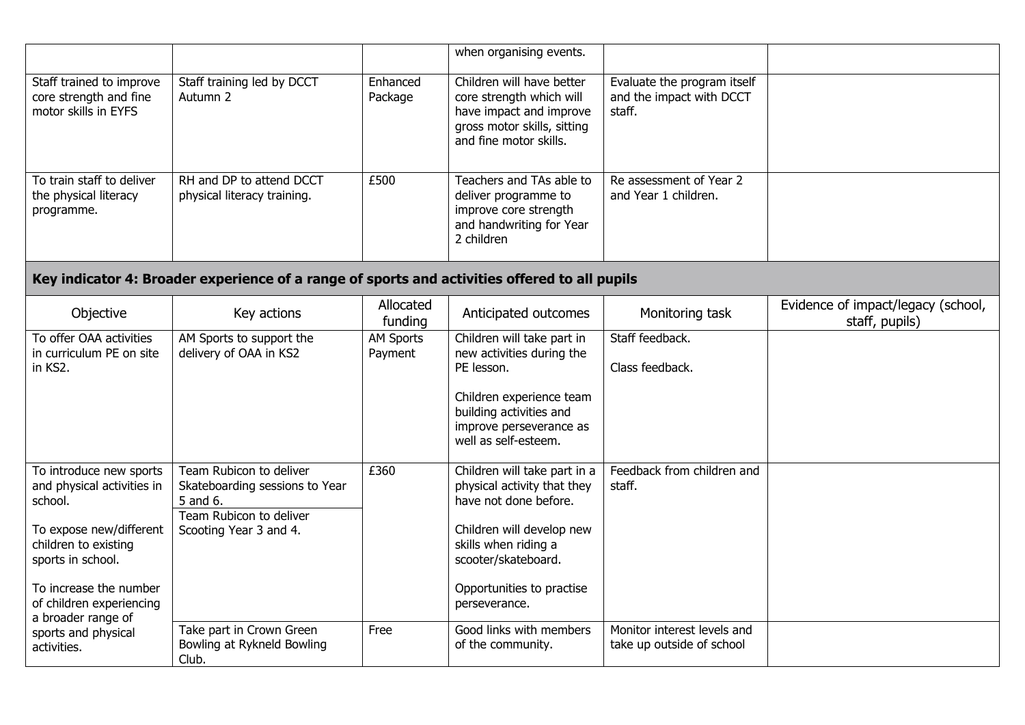|                                                                                                                                                                                                                      |                                                                                                                            |                             | when organising events.                                                                                                                                                                                        |                                                                   |                                                      |  |  |  |
|----------------------------------------------------------------------------------------------------------------------------------------------------------------------------------------------------------------------|----------------------------------------------------------------------------------------------------------------------------|-----------------------------|----------------------------------------------------------------------------------------------------------------------------------------------------------------------------------------------------------------|-------------------------------------------------------------------|------------------------------------------------------|--|--|--|
| Staff trained to improve<br>core strength and fine<br>motor skills in EYFS                                                                                                                                           | Staff training led by DCCT<br>Autumn 2                                                                                     | Enhanced<br>Package         | Children will have better<br>core strength which will<br>have impact and improve<br>gross motor skills, sitting<br>and fine motor skills.                                                                      | Evaluate the program itself<br>and the impact with DCCT<br>staff. |                                                      |  |  |  |
| To train staff to deliver<br>the physical literacy<br>programme.                                                                                                                                                     | RH and DP to attend DCCT<br>physical literacy training.                                                                    | £500                        | Teachers and TAs able to<br>deliver programme to<br>improve core strength<br>and handwriting for Year<br>2 children                                                                                            | Re assessment of Year 2<br>and Year 1 children.                   |                                                      |  |  |  |
| Key indicator 4: Broader experience of a range of sports and activities offered to all pupils                                                                                                                        |                                                                                                                            |                             |                                                                                                                                                                                                                |                                                                   |                                                      |  |  |  |
| Objective                                                                                                                                                                                                            | Key actions                                                                                                                | Allocated<br>funding        | Anticipated outcomes                                                                                                                                                                                           | Monitoring task                                                   | Evidence of impact/legacy (school,<br>staff, pupils) |  |  |  |
| To offer OAA activities<br>in curriculum PE on site<br>in KS2.                                                                                                                                                       | AM Sports to support the<br>delivery of OAA in KS2                                                                         | <b>AM Sports</b><br>Payment | Children will take part in<br>new activities during the<br>PE lesson.<br>Children experience team<br>building activities and<br>improve perseverance as<br>well as self-esteem.                                | Staff feedback.<br>Class feedback.                                |                                                      |  |  |  |
| To introduce new sports<br>and physical activities in<br>school.<br>To expose new/different<br>children to existing<br>sports in school.<br>To increase the number<br>of children experiencing<br>a broader range of | Team Rubicon to deliver<br>Skateboarding sessions to Year<br>5 and 6.<br>Team Rubicon to deliver<br>Scooting Year 3 and 4. | £360                        | Children will take part in a<br>physical activity that they<br>have not done before.<br>Children will develop new<br>skills when riding a<br>scooter/skateboard.<br>Opportunities to practise<br>perseverance. | Feedback from children and<br>staff.                              |                                                      |  |  |  |
| sports and physical<br>activities.                                                                                                                                                                                   | Take part in Crown Green<br>Bowling at Rykneld Bowling<br>Club.                                                            | Free                        | Good links with members<br>of the community.                                                                                                                                                                   | Monitor interest levels and<br>take up outside of school          |                                                      |  |  |  |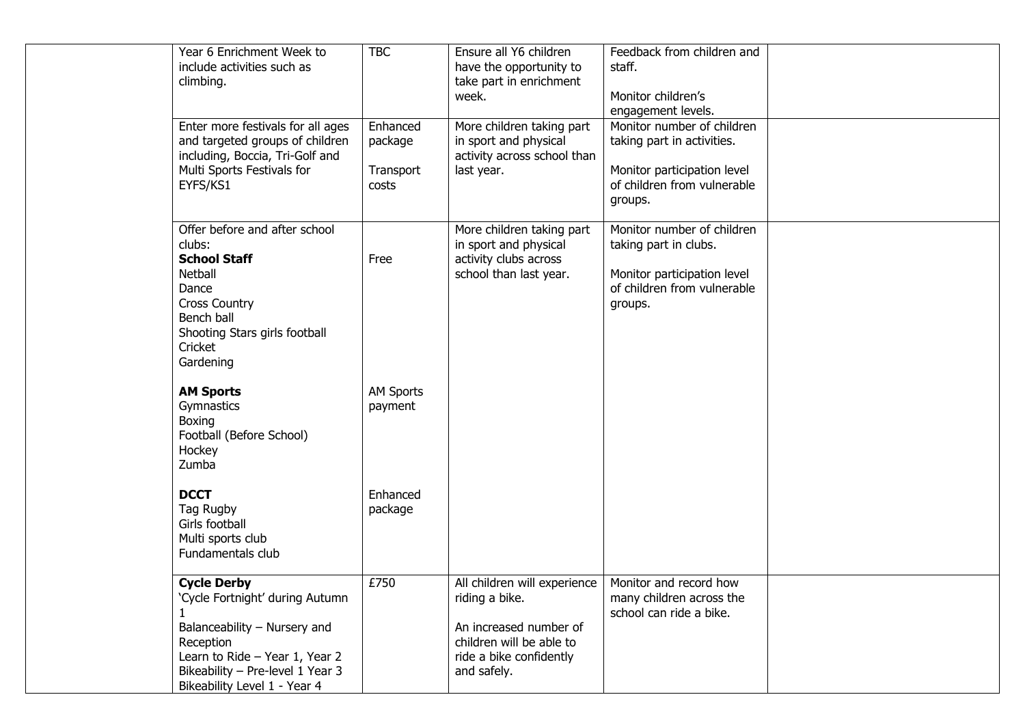| Year 6 Enrichment Week to         | <b>TBC</b>       | Ensure all Y6 children       | Feedback from children and  |  |
|-----------------------------------|------------------|------------------------------|-----------------------------|--|
| include activities such as        |                  | have the opportunity to      | staff.                      |  |
| climbing.                         |                  | take part in enrichment      |                             |  |
|                                   |                  | week.                        | Monitor children's          |  |
|                                   |                  |                              | engagement levels.          |  |
| Enter more festivals for all ages | Enhanced         | More children taking part    | Monitor number of children  |  |
| and targeted groups of children   | package          | in sport and physical        | taking part in activities.  |  |
| including, Boccia, Tri-Golf and   |                  | activity across school than  |                             |  |
| Multi Sports Festivals for        | Transport        | last year.                   | Monitor participation level |  |
| EYFS/KS1                          | costs            |                              | of children from vulnerable |  |
|                                   |                  |                              |                             |  |
|                                   |                  |                              | groups.                     |  |
| Offer before and after school     |                  | More children taking part    | Monitor number of children  |  |
| clubs:                            |                  | in sport and physical        | taking part in clubs.       |  |
| <b>School Staff</b>               | Free             | activity clubs across        |                             |  |
| Netball                           |                  | school than last year.       | Monitor participation level |  |
| Dance                             |                  |                              | of children from vulnerable |  |
| <b>Cross Country</b>              |                  |                              |                             |  |
| Bench ball                        |                  |                              | groups.                     |  |
|                                   |                  |                              |                             |  |
| Shooting Stars girls football     |                  |                              |                             |  |
| Cricket                           |                  |                              |                             |  |
| Gardening                         |                  |                              |                             |  |
| <b>AM Sports</b>                  | <b>AM Sports</b> |                              |                             |  |
| Gymnastics                        | payment          |                              |                             |  |
| Boxing                            |                  |                              |                             |  |
| Football (Before School)          |                  |                              |                             |  |
| Hockey                            |                  |                              |                             |  |
| Zumba                             |                  |                              |                             |  |
|                                   |                  |                              |                             |  |
| <b>DCCT</b>                       | Enhanced         |                              |                             |  |
| Tag Rugby                         | package          |                              |                             |  |
| Girls football                    |                  |                              |                             |  |
| Multi sports club                 |                  |                              |                             |  |
| Fundamentals club                 |                  |                              |                             |  |
|                                   |                  |                              |                             |  |
| <b>Cycle Derby</b>                | £750             | All children will experience | Monitor and record how      |  |
| 'Cycle Fortnight' during Autumn   |                  | riding a bike.               | many children across the    |  |
| 1                                 |                  |                              | school can ride a bike.     |  |
| Balanceability - Nursery and      |                  | An increased number of       |                             |  |
| Reception                         |                  | children will be able to     |                             |  |
| Learn to Ride - Year 1, Year 2    |                  | ride a bike confidently      |                             |  |
| Bikeability - Pre-level 1 Year 3  |                  | and safely.                  |                             |  |
| Bikeability Level 1 - Year 4      |                  |                              |                             |  |
|                                   |                  |                              |                             |  |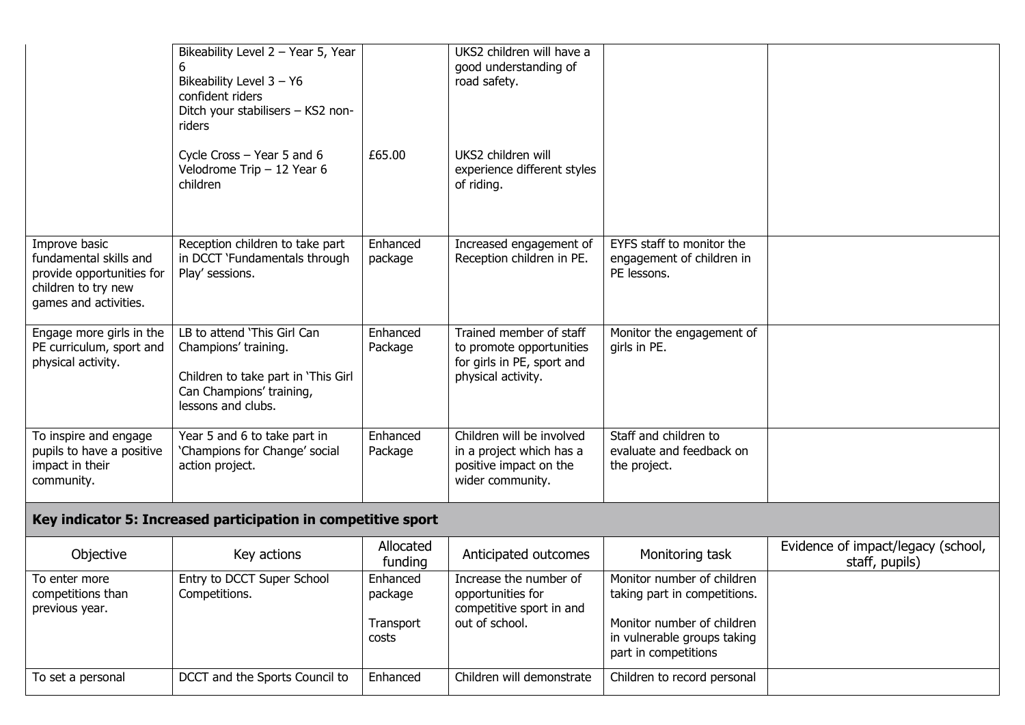|                                                                                                                      | Bikeability Level 2 - Year 5, Year<br>Bikeability Level 3 - Y6<br>confident riders<br>Ditch your stabilisers - KS2 non-<br>riders            |                                           | UKS2 children will have a<br>good understanding of<br>road safety.                                      |                                                                                                                                                 |                                                      |  |  |  |
|----------------------------------------------------------------------------------------------------------------------|----------------------------------------------------------------------------------------------------------------------------------------------|-------------------------------------------|---------------------------------------------------------------------------------------------------------|-------------------------------------------------------------------------------------------------------------------------------------------------|------------------------------------------------------|--|--|--|
|                                                                                                                      | Cycle Cross $-$ Year 5 and 6<br>Velodrome Trip - 12 Year 6<br>children                                                                       | £65.00                                    | UKS2 children will<br>experience different styles<br>of riding.                                         |                                                                                                                                                 |                                                      |  |  |  |
| Improve basic<br>fundamental skills and<br>provide opportunities for<br>children to try new<br>games and activities. | Reception children to take part<br>in DCCT 'Fundamentals through<br>Play' sessions.                                                          | Enhanced<br>package                       | Increased engagement of<br>Reception children in PE.                                                    | EYFS staff to monitor the<br>engagement of children in<br>PE lessons.                                                                           |                                                      |  |  |  |
| Engage more girls in the<br>PE curriculum, sport and<br>physical activity.                                           | LB to attend 'This Girl Can<br>Champions' training.<br>Children to take part in 'This Girl<br>Can Champions' training,<br>lessons and clubs. | Enhanced<br>Package                       | Trained member of staff<br>to promote opportunities<br>for girls in PE, sport and<br>physical activity. | Monitor the engagement of<br>girls in PE.                                                                                                       |                                                      |  |  |  |
| To inspire and engage<br>pupils to have a positive<br>impact in their<br>community.                                  | Year 5 and 6 to take part in<br>'Champions for Change' social<br>action project.                                                             | Enhanced<br>Package                       | Children will be involved<br>in a project which has a<br>positive impact on the<br>wider community.     | Staff and children to<br>evaluate and feedback on<br>the project.                                                                               |                                                      |  |  |  |
| Key indicator 5: Increased participation in competitive sport                                                        |                                                                                                                                              |                                           |                                                                                                         |                                                                                                                                                 |                                                      |  |  |  |
| Objective                                                                                                            | Key actions                                                                                                                                  | Allocated<br>funding                      | Anticipated outcomes                                                                                    | Monitoring task                                                                                                                                 | Evidence of impact/legacy (school,<br>staff, pupils) |  |  |  |
| To enter more<br>competitions than<br>previous year.                                                                 | Entry to DCCT Super School<br>Competitions.                                                                                                  | Enhanced<br>package<br>Transport<br>costs | Increase the number of<br>opportunities for<br>competitive sport in and<br>out of school.               | Monitor number of children<br>taking part in competitions.<br>Monitor number of children<br>in vulnerable groups taking<br>part in competitions |                                                      |  |  |  |
| To set a personal                                                                                                    | DCCT and the Sports Council to                                                                                                               | Enhanced                                  | Children will demonstrate                                                                               | Children to record personal                                                                                                                     |                                                      |  |  |  |